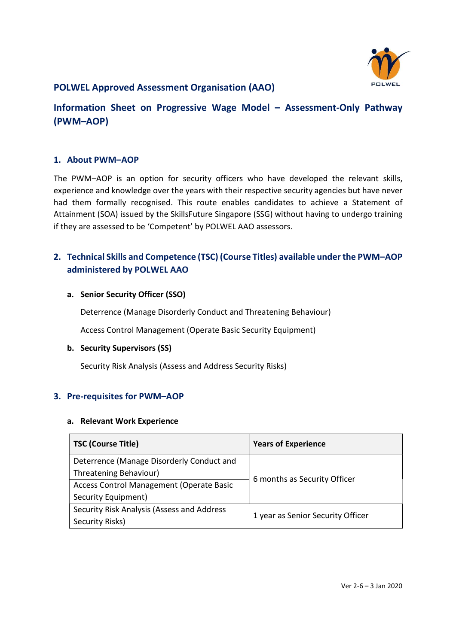

## POLWEL Approved Assessment Organisation (AAO)

# Information Sheet on Progressive Wage Model – Assessment-Only Pathway (PWM–AOP)

### 1. About PWM–AOP

The PWM–AOP is an option for security officers who have developed the relevant skills, experience and knowledge over the years with their respective security agencies but have never had them formally recognised. This route enables candidates to achieve a Statement of Attainment (SOA) issued by the SkillsFuture Singapore (SSG) without having to undergo training if they are assessed to be 'Competent' by POLWEL AAO assessors.

## 2. Technical Skills and Competence (TSC) (Course Titles) available under the PWM–AOP administered by POLWEL AAO

#### a. Senior Security Officer (SSO)

Deterrence (Manage Disorderly Conduct and Threatening Behaviour)

Access Control Management (Operate Basic Security Equipment)

#### b. Security Supervisors (SS)

Security Risk Analysis (Assess and Address Security Risks)

### 3. Pre-requisites for PWM–AOP

#### a. Relevant Work Experience

| <b>TSC (Course Title)</b>                       | <b>Years of Experience</b>        |
|-------------------------------------------------|-----------------------------------|
| Deterrence (Manage Disorderly Conduct and       | 6 months as Security Officer      |
| Threatening Behaviour)                          |                                   |
| <b>Access Control Management (Operate Basic</b> |                                   |
| Security Equipment)                             |                                   |
| Security Risk Analysis (Assess and Address      | 1 year as Senior Security Officer |
| Security Risks)                                 |                                   |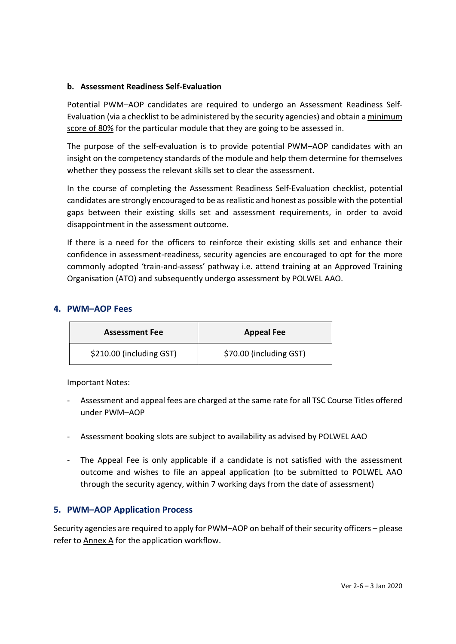### b. Assessment Readiness Self-Evaluation

Potential PWM–AOP candidates are required to undergo an Assessment Readiness Self-Evaluation (via a checklist to be administered by the security agencies) and obtain a minimum score of 80% for the particular module that they are going to be assessed in.

The purpose of the self-evaluation is to provide potential PWM–AOP candidates with an insight on the competency standards of the module and help them determine for themselves whether they possess the relevant skills set to clear the assessment.

In the course of completing the Assessment Readiness Self-Evaluation checklist, potential candidates are strongly encouraged to be as realistic and honest as possible with the potential gaps between their existing skills set and assessment requirements, in order to avoid disappointment in the assessment outcome.

If there is a need for the officers to reinforce their existing skills set and enhance their confidence in assessment-readiness, security agencies are encouraged to opt for the more commonly adopted 'train-and-assess' pathway i.e. attend training at an Approved Training Organisation (ATO) and subsequently undergo assessment by POLWEL AAO.

### 4. PWM–AOP Fees

| <b>Assessment Fee</b>    | <b>Appeal Fee</b>       |
|--------------------------|-------------------------|
| \$210.00 (including GST) | \$70.00 (including GST) |

Important Notes:

- Assessment and appeal fees are charged at the same rate for all TSC Course Titles offered under PWM–AOP
- Assessment booking slots are subject to availability as advised by POLWEL AAO
- The Appeal Fee is only applicable if a candidate is not satisfied with the assessment outcome and wishes to file an appeal application (to be submitted to POLWEL AAO through the security agency, within 7 working days from the date of assessment)

### 5. PWM–AOP Application Process

Security agencies are required to apply for PWM–AOP on behalf of their security officers – please refer to Annex A for the application workflow.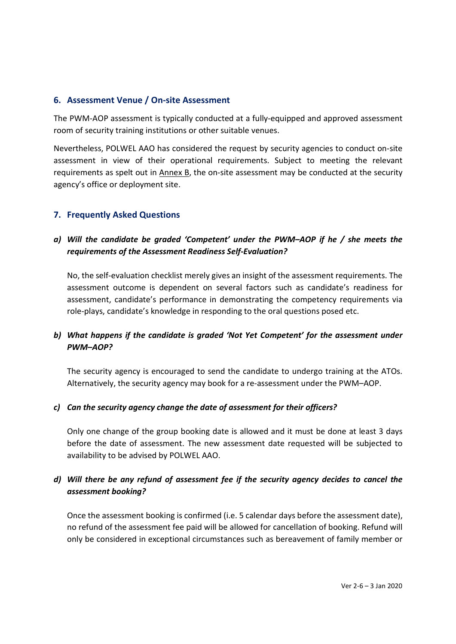### 6. Assessment Venue / On-site Assessment

The PWM-AOP assessment is typically conducted at a fully-equipped and approved assessment room of security training institutions or other suitable venues.

Nevertheless, POLWEL AAO has considered the request by security agencies to conduct on-site assessment in view of their operational requirements. Subject to meeting the relevant requirements as spelt out in Annex B, the on-site assessment may be conducted at the security agency's office or deployment site.

### 7. Frequently Asked Questions

## a) Will the candidate be graded 'Competent' under the PWM–AOP if he / she meets the requirements of the Assessment Readiness Self-Evaluation?

No, the self-evaluation checklist merely gives an insight of the assessment requirements. The assessment outcome is dependent on several factors such as candidate's readiness for assessment, candidate's performance in demonstrating the competency requirements via role-plays, candidate's knowledge in responding to the oral questions posed etc.

## b) What happens if the candidate is graded 'Not Yet Competent' for the assessment under PWM–AOP?

The security agency is encouraged to send the candidate to undergo training at the ATOs. Alternatively, the security agency may book for a re-assessment under the PWM–AOP.

### c) Can the security agency change the date of assessment for their officers?

Only one change of the group booking date is allowed and it must be done at least 3 days before the date of assessment. The new assessment date requested will be subjected to availability to be advised by POLWEL AAO.

## d) Will there be any refund of assessment fee if the security agency decides to cancel the assessment booking?

Once the assessment booking is confirmed (i.e. 5 calendar days before the assessment date), no refund of the assessment fee paid will be allowed for cancellation of booking. Refund will only be considered in exceptional circumstances such as bereavement of family member or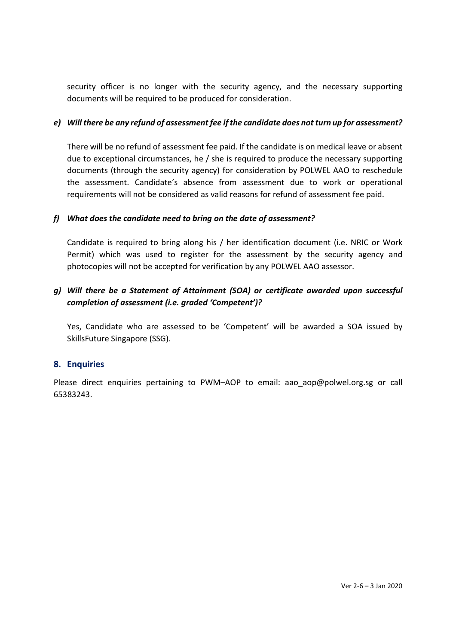security officer is no longer with the security agency, and the necessary supporting documents will be required to be produced for consideration.

### e) Will there be any refund of assessment fee if the candidate does not turn up for assessment?

There will be no refund of assessment fee paid. If the candidate is on medical leave or absent due to exceptional circumstances, he / she is required to produce the necessary supporting documents (through the security agency) for consideration by POLWEL AAO to reschedule the assessment. Candidate's absence from assessment due to work or operational requirements will not be considered as valid reasons for refund of assessment fee paid.

### f) What does the candidate need to bring on the date of assessment?

Candidate is required to bring along his / her identification document (i.e. NRIC or Work Permit) which was used to register for the assessment by the security agency and photocopies will not be accepted for verification by any POLWEL AAO assessor.

## g) Will there be a Statement of Attainment (SOA) or certificate awarded upon successful completion of assessment (i.e. graded 'Competent')?

Yes, Candidate who are assessed to be 'Competent' will be awarded a SOA issued by SkillsFuture Singapore (SSG).

### 8. Enquiries

Please direct enquiries pertaining to PWM-AOP to email: aao\_aop@polwel.org.sg or call 65383243.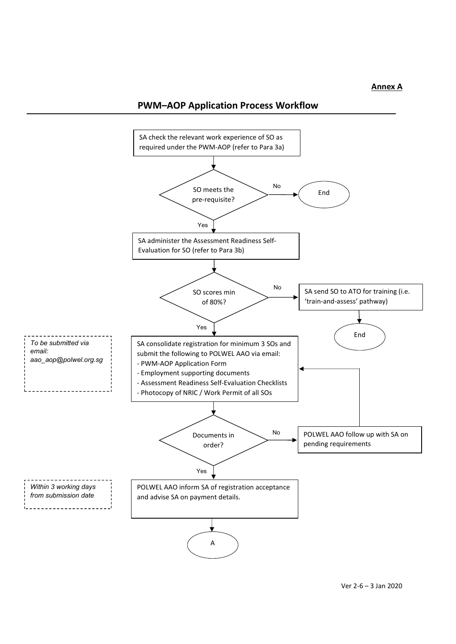#### Annex A

## PWM–AOP Application Process Workflow

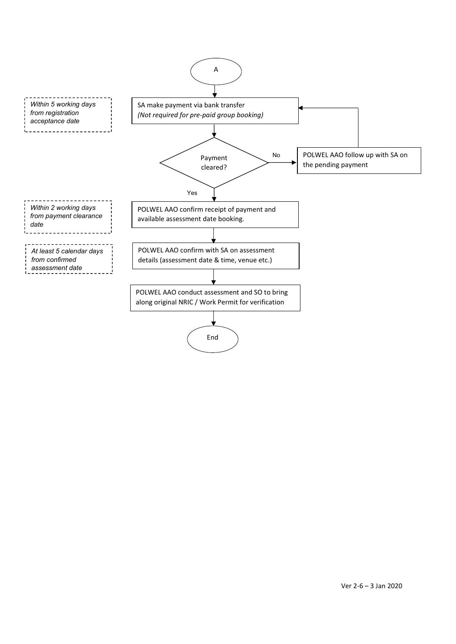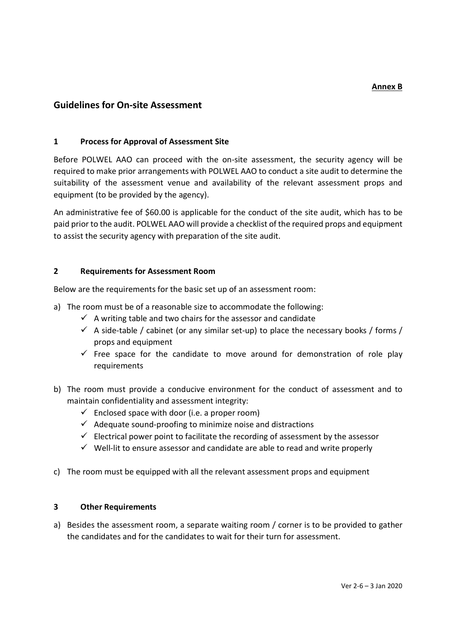### Guidelines for On-site Assessment

#### 1 Process for Approval of Assessment Site

Before POLWEL AAO can proceed with the on-site assessment, the security agency will be required to make prior arrangements with POLWEL AAO to conduct a site audit to determine the suitability of the assessment venue and availability of the relevant assessment props and equipment (to be provided by the agency).

An administrative fee of \$60.00 is applicable for the conduct of the site audit, which has to be paid prior to the audit. POLWEL AAO will provide a checklist of the required props and equipment to assist the security agency with preparation of the site audit.

#### 2 Requirements for Assessment Room

Below are the requirements for the basic set up of an assessment room:

- a) The room must be of a reasonable size to accommodate the following:
	- $\checkmark$  A writing table and two chairs for the assessor and candidate
	- $\checkmark$  A side-table / cabinet (or any similar set-up) to place the necessary books / forms / props and equipment
	- $\checkmark$  Free space for the candidate to move around for demonstration of role play requirements
- b) The room must provide a conducive environment for the conduct of assessment and to maintain confidentiality and assessment integrity:
	- $\checkmark$  Enclosed space with door (i.e. a proper room)
	- $\checkmark$  Adequate sound-proofing to minimize noise and distractions
	- $\checkmark$  Electrical power point to facilitate the recording of assessment by the assessor
	- $\checkmark$  Well-lit to ensure assessor and candidate are able to read and write properly
- c) The room must be equipped with all the relevant assessment props and equipment

#### 3 Other Requirements

a) Besides the assessment room, a separate waiting room / corner is to be provided to gather the candidates and for the candidates to wait for their turn for assessment.